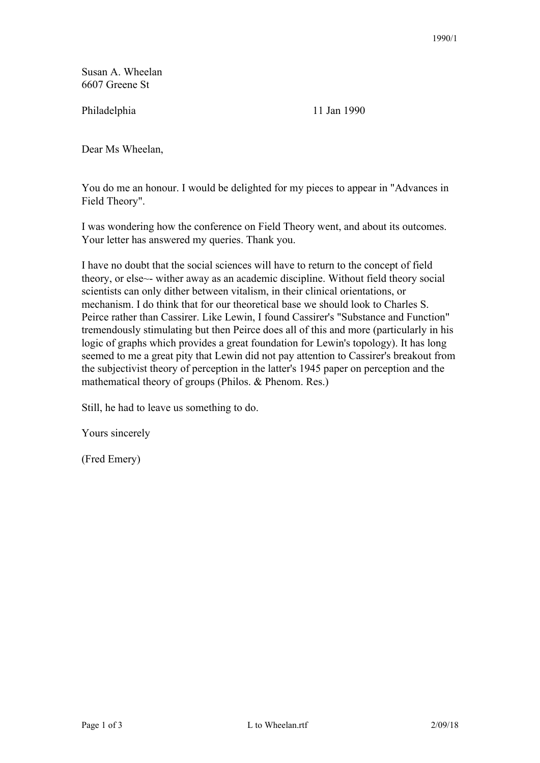Susan A. Wheelan 6607 Greene St

Philadelphia 11 Jan 1990

Dear Ms Wheelan,

You do me an honour. I would be delighted for my pieces to appear in "Advances in Field Theory".

I was wondering how the conference on Field Theory went, and about its outcomes. Your letter has answered my queries. Thank you.

I have no doubt that the social sciences will have to return to the concept of field theory, or else~- wither away as an academic discipline. Without field theory social scientists can only dither between vitalism, in their clinical orientations, or mechanism. I do think that for our theoretical base we should look to Charles S. Peirce rather than Cassirer. Like Lewin, I found Cassirer's "Substance and Function" tremendously stimulating but then Peirce does all of this and more (particularly in his logic of graphs which provides a great foundation for Lewin's topology). It has long seemed to me a great pity that Lewin did not pay attention to Cassirer's breakout from the subjectivist theory of perception in the latter's 1945 paper on perception and the mathematical theory of groups (Philos. & Phenom. Res.)

Still, he had to leave us something to do.

Yours sincerely

(Fred Emery)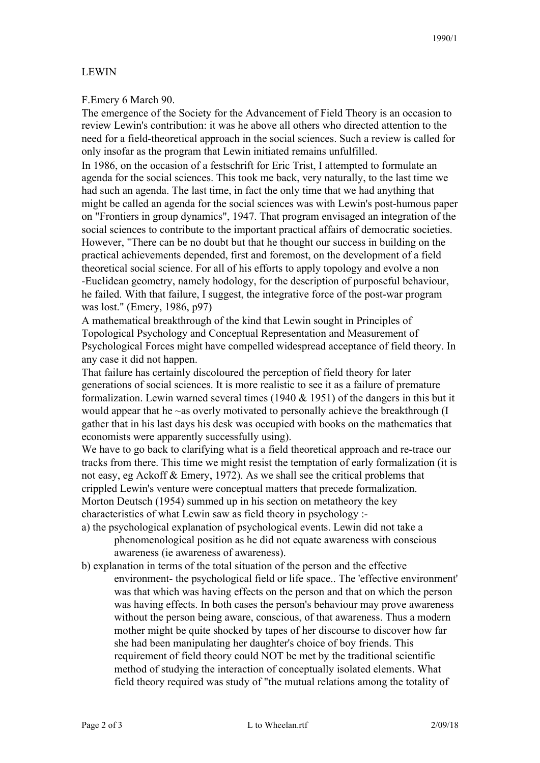## LEWIN

## F.Emery 6 March 90.

The emergence of the Society for the Advancement of Field Theory is an occasion to review Lewin's contribution: it was he above all others who directed attention to the need for a field-theoretical approach in the social sciences. Such a review is called for only insofar as the program that Lewin initiated remains unfulfilled.

In 1986, on the occasion of a festschrift for Eric Trist, I attempted to formulate an agenda for the social sciences. This took me back, very naturally, to the last time we had such an agenda. The last time, in fact the only time that we had anything that might be called an agenda for the social sciences was with Lewin's post-humous paper on "Frontiers in group dynamics", 1947. That program envisaged an integration of the social sciences to contribute to the important practical affairs of democratic societies. However, "There can be no doubt but that he thought our success in building on the practical achievements depended, first and foremost, on the development of a field theoretical social science. For all of his efforts to apply topology and evolve a non -Euclidean geometry, namely hodology, for the description of purposeful behaviour, he failed. With that failure, I suggest, the integrative force of the post-war program was lost." (Emery, 1986, p97)

A mathematical breakthrough of the kind that Lewin sought in Principles of Topological Psychology and Conceptual Representation and Measurement of Psychological Forces might have compelled widespread acceptance of field theory. In any case it did not happen.

That failure has certainly discoloured the perception of field theory for later generations of social sciences. It is more realistic to see it as a failure of premature formalization. Lewin warned several times (1940 & 1951) of the dangers in this but it would appear that he ~as overly motivated to personally achieve the breakthrough (I gather that in his last days his desk was occupied with books on the mathematics that economists were apparently successfully using).

We have to go back to clarifying what is a field theoretical approach and re-trace our tracks from there. This time we might resist the temptation of early formalization (it is not easy, eg Ackoff & Emery, 1972). As we shall see the critical problems that crippled Lewin's venture were conceptual matters that precede formalization. Morton Deutsch (1954) summed up in his section on metatheory the key characteristics of what Lewin saw as field theory in psychology :-

- a) the psychological explanation of psychological events. Lewin did not take a phenomenological position as he did not equate awareness with conscious awareness (ie awareness of awareness).
- b) explanation in terms of the total situation of the person and the effective environment- the psychological field or life space.. The 'effective environment' was that which was having effects on the person and that on which the person was having effects. In both cases the person's behaviour may prove awareness without the person being aware, conscious, of that awareness. Thus a modern mother might be quite shocked by tapes of her discourse to discover how far she had been manipulating her daughter's choice of boy friends. This requirement of field theory could NOT be met by the traditional scientific method of studying the interaction of conceptually isolated elements. What field theory required was study of "the mutual relations among the totality of